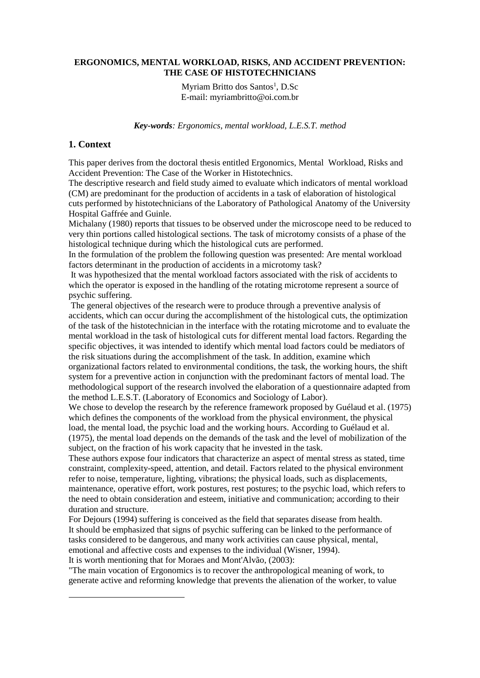#### **ERGONOMICS, MENTAL WORKLOAD, RISKS, AND ACCIDENT PREVENTION: THE CASE OF HISTOTECHNICIANS**

Myriam Britto dos Santos<sup>1</sup>, D.Sc E-mail: myriambritto@oi.com.br

*Key-words: Ergonomics, mental workload, L.E.S.T. method*

#### **1. Context**

 $\overline{a}$ 

This paper derives from the doctoral thesis entitled Ergonomics, Mental Workload, Risks and Accident Prevention: The Case of the Worker in Histotechnics.

The descriptive research and field study aimed to evaluate which indicators of mental workload (CM) are predominant for the production of accidents in a task of elaboration of histological cuts performed by histotechnicians of the Laboratory of Pathological Anatomy of the University Hospital Gaffrée and Guinle.

Michalany (1980) reports that tissues to be observed under the microscope need to be reduced to very thin portions called histological sections. The task of microtomy consists of a phase of the histological technique during which the histological cuts are performed.

In the formulation of the problem the following question was presented: Are mental workload factors determinant in the production of accidents in a microtomy task?

It was hypothesized that the mental workload factors associated with the risk of accidents to which the operator is exposed in the handling of the rotating microtome represent a source of psychic suffering.

The general objectives of the research were to produce through a preventive analysis of accidents, which can occur during the accomplishment of the histological cuts, the optimization of the task of the histotechnician in the interface with the rotating microtome and to evaluate the mental workload in the task of histological cuts for different mental load factors. Regarding the specific objectives, it was intended to identify which mental load factors could be mediators of the risk situations during the accomplishment of the task. In addition, examine which organizational factors related to environmental conditions, the task, the working hours, the shift system for a preventive action in conjunction with the predominant factors of mental load. The methodological support of the research involved the elaboration of a questionnaire adapted from the method L.E.S.T. (Laboratory of Economics and Sociology of Labor).

We chose to develop the research by the reference framework proposed by Guélaud et al. (1975) which defines the components of the workload from the physical environment, the physical load, the mental load, the psychic load and the working hours. According to Guélaud et al. (1975), the mental load depends on the demands of the task and the level of mobilization of the subject, on the fraction of his work capacity that he invested in the task.

These authors expose four indicators that characterize an aspect of mental stress as stated, time constraint, complexity-speed, attention, and detail. Factors related to the physical environment refer to noise, temperature, lighting, vibrations; the physical loads, such as displacements, maintenance, operative effort, work postures, rest postures; to the psychic load, which refers to the need to obtain consideration and esteem, initiative and communication; according to their duration and structure.

For Dejours (1994) suffering is conceived as the field that separates disease from health. It should be emphasized that signs of psychic suffering can be linked to the performance of tasks considered to be dangerous, and many work activities can cause physical, mental, emotional and affective costs and expenses to the individual (Wisner, 1994). It is worth mentioning that for Moraes and Mont'Alvão, (2003):

"The main vocation of Ergonomics is to recover the anthropological meaning of work, to generate active and reforming knowledge that prevents the alienation of the worker, to value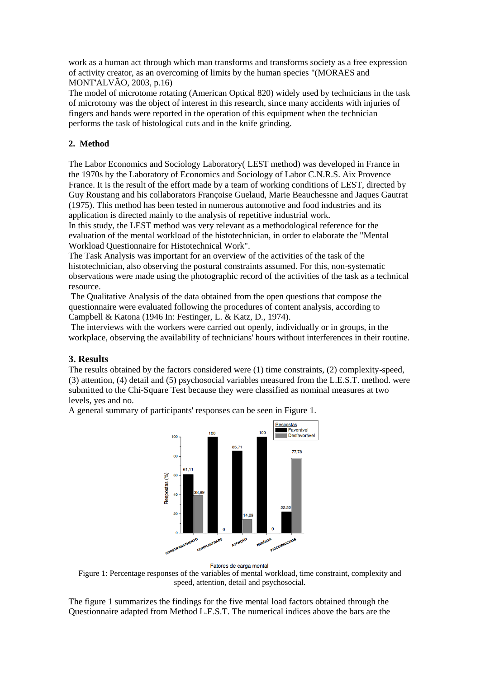work as a human act through which man transforms and transforms society as a free expression of activity creator, as an overcoming of limits by the human species "(MORAES and MONT'ALVÃO, 2003, p.16)

The model of microtome rotating (American Optical 820) widely used by technicians in the task of microtomy was the object of interest in this research, since many accidents with injuries of fingers and hands were reported in the operation of this equipment when the technician performs the task of histological cuts and in the knife grinding.

# **2. Method**

The Labor Economics and Sociology Laboratory( LEST method) was developed in France in the 1970s by the Laboratory of Economics and Sociology of Labor C.N.R.S. Aix Provence France. It is the result of the effort made by a team of working conditions of LEST, directed by Guy Roustang and his collaborators Françoise Guelaud, Marie Beauchessne and Jaques Gautrat (1975). This method has been tested in numerous automotive and food industries and its application is directed mainly to the analysis of repetitive industrial work.

In this study, the LEST method was very relevant as a methodological reference for the evaluation of the mental workload of the histotechnician, in order to elaborate the "Mental Workload Questionnaire for Histotechnical Work".

The Task Analysis was important for an overview of the activities of the task of the histotechnician, also observing the postural constraints assumed. For this, non-systematic observations were made using the photographic record of the activities of the task as a technical resource.

The Qualitative Analysis of the data obtained from the open questions that compose the questionnaire were evaluated following the procedures of content analysis, according to Campbell & Katona (1946 In: Festinger, L. & Katz, D., 1974).

The interviews with the workers were carried out openly, individually or in groups, in the workplace, observing the availability of technicians' hours without interferences in their routine.

## **3. Results**

The results obtained by the factors considered were (1) time constraints, (2) complexity-speed, (3) attention, (4) detail and (5) psychosocial variables measured from the L.E.S.T. method. were submitted to the Chi-Square Test because they were classified as nominal measures at two levels, yes and no.

A general summary of participants' responses can be seen in Figure 1.



Fatores de carga mental

Figure 1: Percentage responses of the variables of mental workload, time constraint, complexity and speed, attention, detail and psychosocial.

The figure 1 summarizes the findings for the five mental load factors obtained through the Questionnaire adapted from Method L.E.S.T. The numerical indices above the bars are the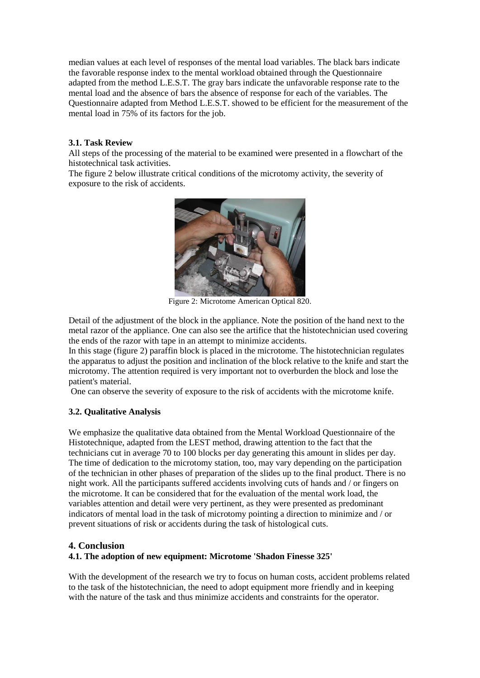median values at each level of responses of the mental load variables. The black bars indicate the favorable response index to the mental workload obtained through the Questionnaire adapted from the method L.E.S.T. The gray bars indicate the unfavorable response rate to the mental load and the absence of bars the absence of response for each of the variables. The Questionnaire adapted from Method L.E.S.T. showed to be efficient for the measurement of the mental load in 75% of its factors for the job.

## **3.1. Task Review**

All steps of the processing of the material to be examined were presented in a flowchart of the histotechnical task activities.

The figure 2 below illustrate critical conditions of the microtomy activity, the severity of exposure to the risk of accidents.



Figure 2: Microtome American Optical 820.

Detail of the adjustment of the block in the appliance. Note the position of the hand next to the metal razor of the appliance. One can also see the artifice that the histotechnician used covering the ends of the razor with tape in an attempt to minimize accidents.

In this stage (figure 2) paraffin block is placed in the microtome. The histotechnician regulates the apparatus to adjust the position and inclination of the block relative to the knife and start the microtomy. The attention required is very important not to overburden the block and lose the patient's material.

One can observe the severity of exposure to the risk of accidents with the microtome knife.

## **3.2. Qualitative Analysis**

We emphasize the qualitative data obtained from the Mental Workload Questionnaire of the Histotechnique, adapted from the LEST method, drawing attention to the fact that the technicians cut in average 70 to 100 blocks per day generating this amount in slides per day. The time of dedication to the microtomy station, too, may vary depending on the participation of the technician in other phases of preparation of the slides up to the final product. There is no night work. All the participants suffered accidents involving cuts of hands and / or fingers on the microtome. It can be considered that for the evaluation of the mental work load, the variables attention and detail were very pertinent, as they were presented as predominant indicators of mental load in the task of microtomy pointing a direction to minimize and / or prevent situations of risk or accidents during the task of histological cuts.

## **4. Conclusion**

## **4.1. The adoption of new equipment: Microtome 'Shadon Finesse 325'**

With the development of the research we try to focus on human costs, accident problems related to the task of the histotechnician, the need to adopt equipment more friendly and in keeping with the nature of the task and thus minimize accidents and constraints for the operator.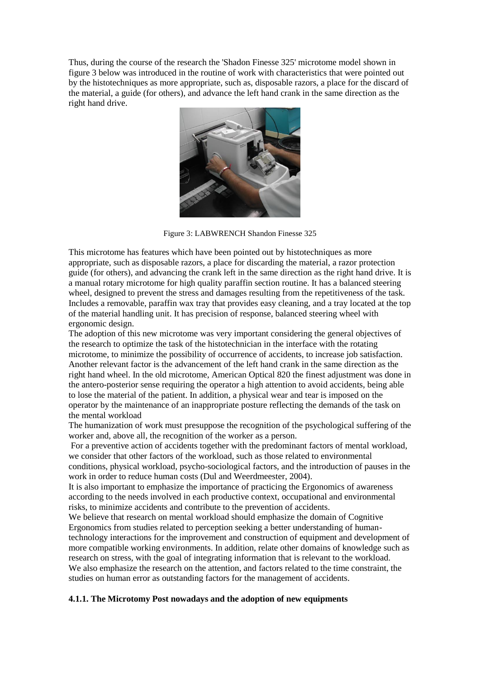Thus, during the course of the research the 'Shadon Finesse 325' microtome model shown in figure 3 below was introduced in the routine of work with characteristics that were pointed out by the histotechniques as more appropriate, such as, disposable razors, a place for the discard of the material, a guide (for others), and advance the left hand crank in the same direction as the right hand drive.



Figure 3: LABWRENCH Shandon Finesse 325

This microtome has features which have been pointed out by histotechniques as more appropriate, such as disposable razors, a place for discarding the material, a razor protection guide (for others), and advancing the crank left in the same direction as the right hand drive. It is a manual rotary microtome for high quality paraffin section routine. It has a balanced steering wheel, designed to prevent the stress and damages resulting from the repetitiveness of the task. Includes a removable, paraffin wax tray that provides easy cleaning, and a tray located at the top of the material handling unit. It has precision of response, balanced steering wheel with ergonomic design.

The adoption of this new microtome was very important considering the general objectives of the research to optimize the task of the histotechnician in the interface with the rotating microtome, to minimize the possibility of occurrence of accidents, to increase job satisfaction. Another relevant factor is the advancement of the left hand crank in the same direction as the right hand wheel. In the old microtome, American Optical 820 the finest adjustment was done in the antero-posterior sense requiring the operator a high attention to avoid accidents, being able to lose the material of the patient. In addition, a physical wear and tear is imposed on the operator by the maintenance of an inappropriate posture reflecting the demands of the task on the mental workload

The humanization of work must presuppose the recognition of the psychological suffering of the worker and, above all, the recognition of the worker as a person.

For a preventive action of accidents together with the predominant factors of mental workload, we consider that other factors of the workload, such as those related to environmental conditions, physical workload, psycho-sociological factors, and the introduction of pauses in the work in order to reduce human costs (Dul and Weerdmeester, 2004).

It is also important to emphasize the importance of practicing the Ergonomics of awareness according to the needs involved in each productive context, occupational and environmental risks, to minimize accidents and contribute to the prevention of accidents.

We believe that research on mental workload should emphasize the domain of Cognitive Ergonomics from studies related to perception seeking a better understanding of humantechnology interactions for the improvement and construction of equipment and development of more compatible working environments. In addition, relate other domains of knowledge such as research on stress, with the goal of integrating information that is relevant to the workload. We also emphasize the research on the attention, and factors related to the time constraint, the studies on human error as outstanding factors for the management of accidents.

## **4.1.1. The Microtomy Post nowadays and the adoption of new equipments**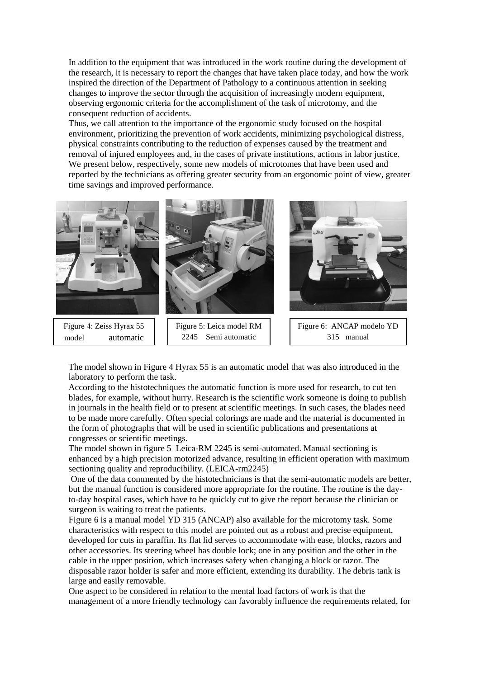In addition to the equipment that was introduced in the work routine during the development of the research, it is necessary to report the changes that have taken place today, and how the work inspired the direction of the Department of Pathology to a continuous attention in seeking changes to improve the sector through the acquisition of increasingly modern equipment, observing ergonomic criteria for the accomplishment of the task of microtomy, and the consequent reduction of accidents.

Thus, we call attention to the importance of the ergonomic study focused on the hospital environment, prioritizing the prevention of work accidents, minimizing psychological distress, physical constraints contributing to the reduction of expenses caused by the treatment and removal of injured employees and, in the cases of private institutions, actions in labor justice. We present below, respectively, some new models of microtomes that have been used and reported by the technicians as offering greater security from an ergonomic point of view, greater time savings and improved performance.



The model shown in Figure 4 Hyrax 55 is an automatic model that was also introduced in the laboratory to perform the task.

According to the histotechniques the automatic function is more used for research, to cut ten blades, for example, without hurry. Research is the scientific work someone is doing to publish in journals in the health field or to present at scientific meetings. In such cases, the blades need to be made more carefully. Often special colorings are made and the material is documented in the form of photographs that will be used in scientific publications and presentations at congresses or scientific meetings.

The model shown in figure 5 Leica-RM 2245 is semi-automated. Manual sectioning is enhanced by a high precision motorized advance, resulting in efficient operation with maximum sectioning quality and reproducibility. (LEICA-rm2245)

One of the data commented by the histotechnicians is that the semi-automatic models are better, but the manual function is considered more appropriate for the routine. The routine is the dayto-day hospital cases, which have to be quickly cut to give the report because the clinician or surgeon is waiting to treat the patients.

Figure 6 is a manual model YD 315 (ANCAP) also available for the microtomy task. Some characteristics with respect to this model are pointed out as a robust and precise equipment, developed for cuts in paraffin. Its flat lid serves to accommodate with ease, blocks, razors and other accessories. Its steering wheel has double lock; one in any position and the other in the cable in the upper position, which increases safety when changing a block or razor. The disposable razor holder is safer and more efficient, extending its durability. The debris tank is large and easily removable.

One aspect to be considered in relation to the mental load factors of work is that the management of a more friendly technology can favorably influence the requirements related, for